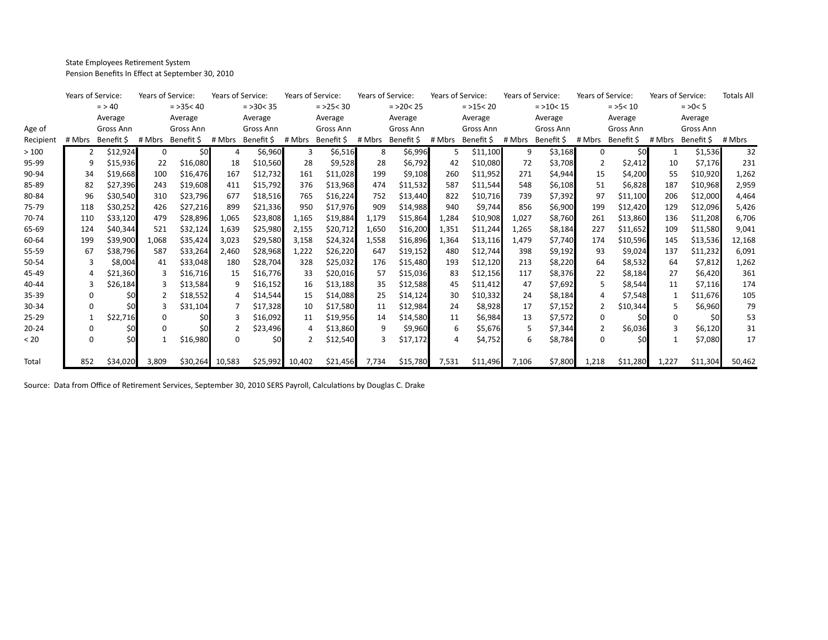State Employees Retirement System Pension Benefits In Effect at September 30, 2010

|           | Years of Service:<br>$=$ > 40 |            | Years of Service: |             | Years of Service: |            | Years of Service: |            | Years of Service: |            | Years of Service: |            | Years of Service: |            | Years of Service: |            | Years of Service: |            | <b>Totals All</b> |
|-----------|-------------------------------|------------|-------------------|-------------|-------------------|------------|-------------------|------------|-------------------|------------|-------------------|------------|-------------------|------------|-------------------|------------|-------------------|------------|-------------------|
|           |                               |            |                   | $=$ >35< 40 | $=$ >30 < 35      |            | $=$ >25 < 30      |            | $=$ >20 < 25      |            | $=$ >15 < 20      |            | $=$ >10 < 15      |            | $=$ >5 < 10       |            | $=$ >0 $<$ 5      |            |                   |
|           | Average                       |            | Average           |             | Average           |            | Average           |            | Average           |            | Average           |            | Average           |            | Average           |            | Average           |            |                   |
| Age of    | Gross Ann                     |            | Gross Ann         |             | Gross Ann         |            | Gross Ann         |            | Gross Ann         |            | Gross Ann         |            | Gross Ann         |            | Gross Ann         |            | Gross Ann         |            |                   |
| Recipient | # Mbrs                        | Benefit \$ | # Mbrs            | Benefit \$  | # Mbrs            | Benefit \$ | # Mbrs            | Benefit \$ | # Mbrs            | Benefit \$ | # Mbrs            | Benefit \$ | # Mbrs            | Benefit \$ | # Mbrs            | Benefit \$ | # Mbrs            | Benefit \$ | # Mbrs            |
| >100      |                               | \$12,924   | 0                 | \$0         |                   | \$6,960    | 3                 | \$6,516    | 8                 | \$6,996    | 5                 | \$11,100   | 9                 | \$3,168    | 0                 | \$0        |                   | \$1,536    | 32                |
| 95-99     | q                             | \$15,936   | 22                | \$16,080    | 18                | \$10,560   | 28                | \$9,528    | 28                | \$6,792    | 42                | \$10,080   | 72                | \$3,708    |                   | \$2,412    | 10                | \$7,176    | 231               |
| 90-94     | 34                            | \$19,668   | 100               | \$16,476    | 167               | \$12,732   | 161               | \$11,028   | 199               | \$9,108    | 260               | \$11,952   | 271               | \$4,944    | 15                | \$4,200    | 55                | \$10,920   | 1,262             |
| 85-89     | 82                            | \$27,396   | 243               | \$19,608    | 411               | \$15,792   | 376               | \$13,968   | 474               | \$11,532   | 587               | \$11,544   | 548               | \$6,108    | 51                | \$6,828    | 187               | \$10,968   | 2,959             |
| 80-84     | 96                            | \$30,540   | 310               | \$23,796    | 677               | \$18,516   | 765               | \$16,224   | 752               | \$13,440   | 822               | \$10,716   | 739               | \$7,392    | 97                | \$11,100   | 206               | \$12,000   | 4,464             |
| 75-79     | 118                           | \$30,252   | 426               | \$27,216    | 899               | \$21,336   | 950               | \$17,976   | 909               | \$14,988   | 940               | \$9,744    | 856               | \$6,900    | 199               | \$12,420   | 129               | \$12,096   | 5,426             |
| 70-74     | 110                           | \$33,120   | 479               | \$28,896    | 1,065             | \$23,808   | 1,165             | \$19,884   | 1,179             | \$15,864   | 1,284             | \$10,908   | 1,027             | \$8,760    | 261               | \$13,860   | 136               | \$11,208   | 6,706             |
| 65-69     | 124                           | \$40,344   | 521               | \$32,124    | 1,639             | \$25,980   | 2,155             | \$20,712   | 1,650             | \$16,200   | 1,351             | \$11,244   | 1,265             | \$8,184    | 227               | \$11,652   | 109               | \$11,580   | 9,041             |
| 60-64     | 199                           | \$39,900   | 1,068             | \$35,424    | 3,023             | \$29,580   | 3,158             | \$24,324   | 1,558             | \$16,896   | 1,364             | \$13,116   | 1.479             | \$7,740    | 174               | \$10,596   | 145               | \$13,536   | 12,168            |
| 55-59     | 67                            | \$38,796   | 587               | \$33,264    | 2,460             | \$28,968   | 1,222             | \$26,220   | 647               | \$19,152   | 480               | \$12,744   | 398               | \$9,192    | 93                | \$9,024    | 137               | \$11,232   | 6,091             |
| 50-54     |                               | \$8,004    | 41                | \$33,048    | 180               | \$28,704   | 328               | \$25,032   | 176               | \$15,480   | 193               | \$12,120   | 213               | \$8,220    | 64                | \$8,532    | 64                | \$7,812    | 1,262             |
| 45-49     |                               | \$21,360   |                   | \$16,716    | 15                | \$16,776   | 33                | \$20,016   | 57                | \$15,036   | 83                | \$12,156   | 117               | \$8,376    | 22                | \$8,184    | 27                | \$6,420    | 361               |
| 40-44     |                               | \$26,184   |                   | \$13,584    |                   | \$16,152   | 16                | \$13,188   | 35                | \$12,588   | 45                | \$11,412   | 47                | \$7,692    |                   | \$8,544    | 11                | \$7,116    | 174               |
| 35-39     |                               |            |                   | \$18,552    |                   | \$14,544   | 15                | \$14,088   | 25                | \$14,124   | 30                | \$10,332   | 24                | \$8,184    |                   | \$7,548    | 1                 | \$11,676   | 105               |
| 30-34     |                               |            |                   | \$31,104    |                   | \$17,328   | 10                | \$17,580   | 11                | \$12,984   | 24                | \$8,928    | 17                | \$7,152    |                   | \$10,344   | 5                 | \$6,960    | 79                |
| 25-29     |                               | \$22,716   | 0                 | \$0         |                   | \$16.092   | 11                | \$19,956   | 14                | \$14,580   | 11                | \$6,984    | 13                | \$7,572    | <sup>0</sup>      | \$0        | 0                 | \$0        | 53                |
| $20 - 24$ |                               |            | n                 | \$0         |                   | \$23,496   | Δ                 | \$13,860   | 9                 | \$9,960    | 6                 | \$5,676    |                   | \$7,344    |                   | \$6,036    | з                 | \$6,120    | 31                |
| < 20      |                               | \$0        |                   | \$16,980    | n                 | \$0        |                   | \$12,540   |                   | \$17,172   |                   | \$4,752    | 6                 | \$8,784    | <sup>0</sup>      | \$0        |                   | \$7,080    | 17                |
|           |                               |            |                   |             |                   |            |                   |            |                   |            |                   |            |                   |            |                   |            |                   |            |                   |
| Total     | 852                           | \$34,020   | 3,809             | \$30,264    | 10,583            |            | \$25,992 10,402   | \$21,456   | 7,734             | \$15,780   | 7,531             | \$11,496   | 7,106             | \$7,800    | 1,218             | \$11,280   | 1,227             | \$11,304   | 50,462            |

Source: Data from Office of Retirement Services, September 30, 2010 SERS Payroll, Calculations by Douglas C. Drake